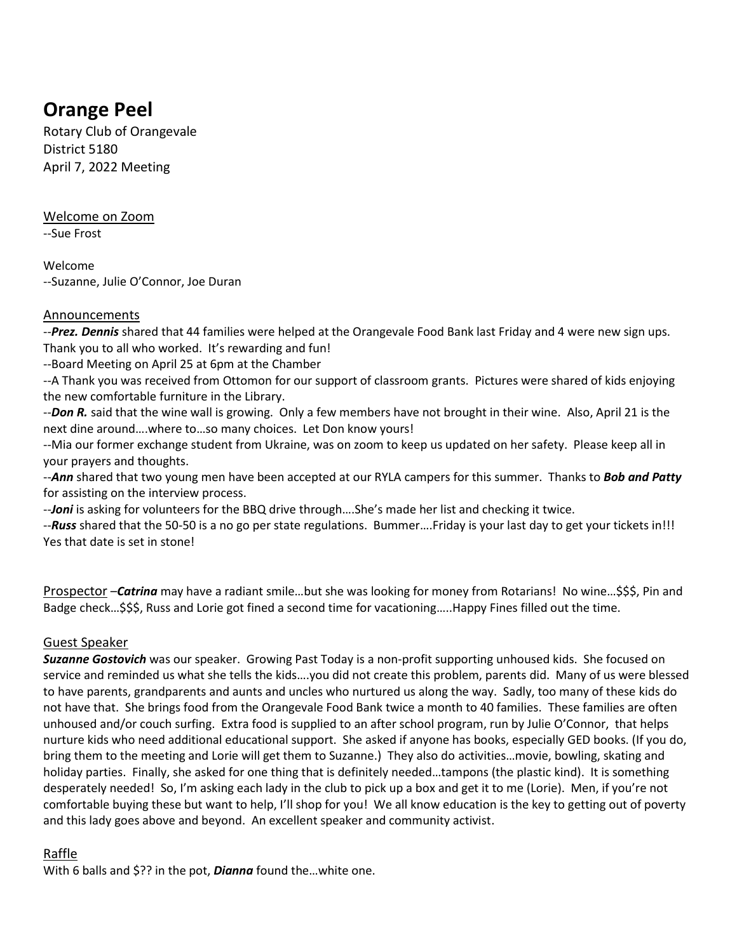# **Orange Peel**

Rotary Club of Orangevale District 5180 April 7, 2022 Meeting

#### Welcome on Zoom

--Sue Frost

Welcome --Suzanne, Julie O'Connor, Joe Duran

### Announcements

--*Prez. Dennis* shared that 44 families were helped at the Orangevale Food Bank last Friday and 4 were new sign ups. Thank you to all who worked. It's rewarding and fun!

--Board Meeting on April 25 at 6pm at the Chamber

--A Thank you was received from Ottomon for our support of classroom grants. Pictures were shared of kids enjoying the new comfortable furniture in the Library.

--*Don R.* said that the wine wall is growing. Only a few members have not brought in their wine. Also, April 21 is the next dine around….where to…so many choices. Let Don know yours!

--Mia our former exchange student from Ukraine, was on zoom to keep us updated on her safety. Please keep all in your prayers and thoughts.

--*Ann* shared that two young men have been accepted at our RYLA campers for this summer. Thanks to *Bob and Patty* for assisting on the interview process.

--**Joni** is asking for volunteers for the BBQ drive through....She's made her list and checking it twice.

--*Russ* shared that the 50-50 is a no go per state regulations. Bummer….Friday is your last day to get your tickets in!!! Yes that date is set in stone!

Prospector –*Catrina* may have a radiant smile…but she was looking for money from Rotarians! No wine…\$\$\$, Pin and Badge check…\$\$\$, Russ and Lorie got fined a second time for vacationing…..Happy Fines filled out the time.

### Guest Speaker

*Suzanne Gostovich* was our speaker. Growing Past Today is a non-profit supporting unhoused kids. She focused on service and reminded us what she tells the kids….you did not create this problem, parents did. Many of us were blessed to have parents, grandparents and aunts and uncles who nurtured us along the way. Sadly, too many of these kids do not have that. She brings food from the Orangevale Food Bank twice a month to 40 families. These families are often unhoused and/or couch surfing. Extra food is supplied to an after school program, run by Julie O'Connor, that helps nurture kids who need additional educational support. She asked if anyone has books, especially GED books. (If you do, bring them to the meeting and Lorie will get them to Suzanne.) They also do activities…movie, bowling, skating and holiday parties. Finally, she asked for one thing that is definitely needed…tampons (the plastic kind). It is something desperately needed! So, I'm asking each lady in the club to pick up a box and get it to me (Lorie). Men, if you're not comfortable buying these but want to help, I'll shop for you! We all know education is the key to getting out of poverty and this lady goes above and beyond. An excellent speaker and community activist.

## Raffle

With 6 balls and \$?? in the pot, *Dianna* found the…white one.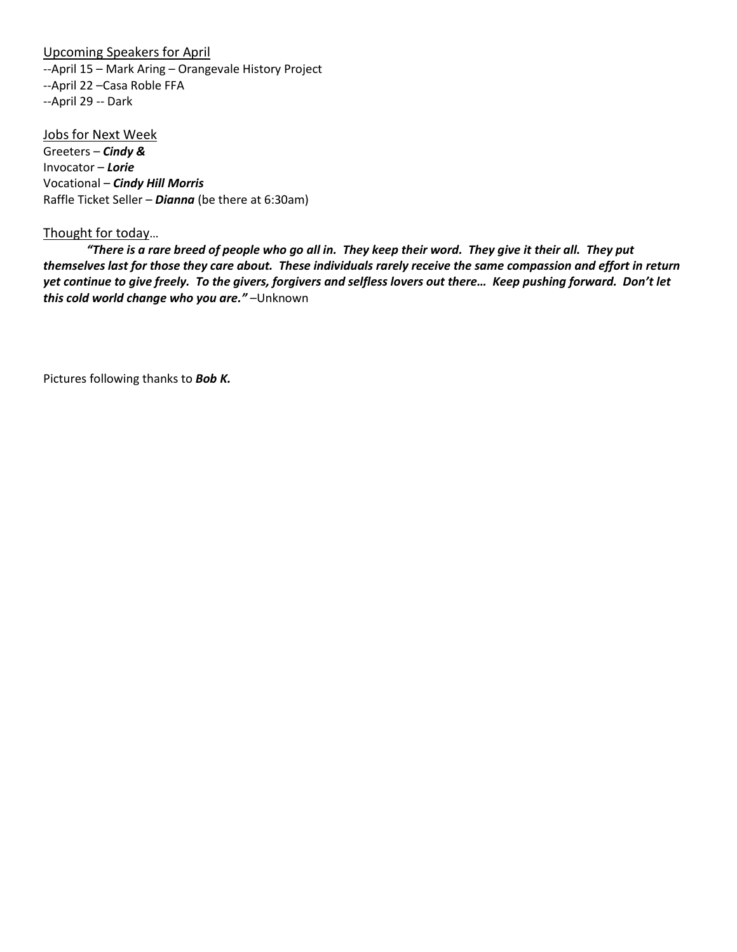#### Upcoming Speakers for April

--April 15 – Mark Aring – Orangevale History Project --April 22 –Casa Roble FFA --April 29 -- Dark

Jobs for Next Week Greeters – *Cindy &*  Invocator – *Lorie* Vocational – *Cindy Hill Morris* Raffle Ticket Seller – *Dianna* (be there at 6:30am)

#### Thought for today…

*"There is a rare breed of people who go all in. They keep their word. They give it their all. They put themselves last for those they care about. These individuals rarely receive the same compassion and effort in return yet continue to give freely. To the givers, forgivers and selfless lovers out there… Keep pushing forward. Don't let this cold world change who you are."* –Unknown

Pictures following thanks to *Bob K.*